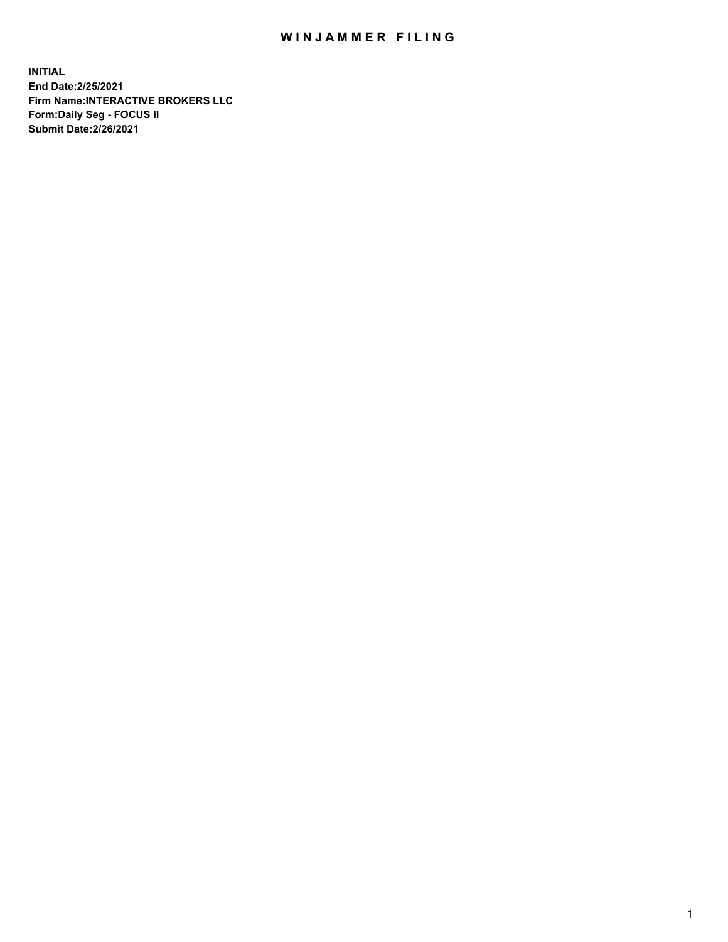## WIN JAMMER FILING

**INITIAL End Date:2/25/2021 Firm Name:INTERACTIVE BROKERS LLC Form:Daily Seg - FOCUS II Submit Date:2/26/2021**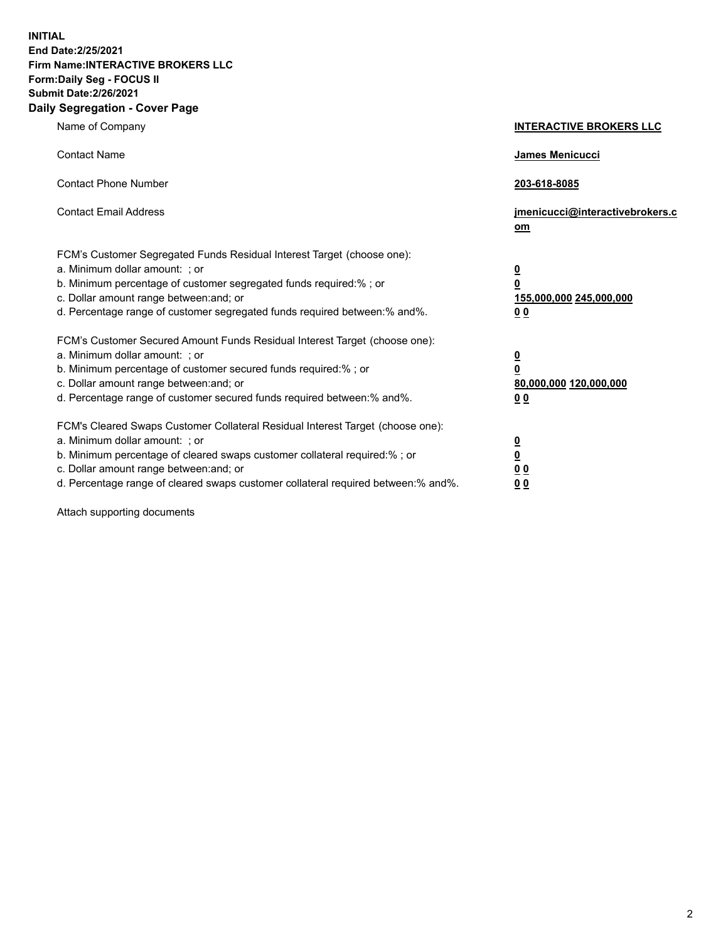**INITIAL End Date:2/25/2021 Firm Name:INTERACTIVE BROKERS LLC Form:Daily Seg - FOCUS II Submit Date:2/26/2021 Daily Segregation - Cover Page**

| Name of Company                                                                                                                                                                                                                                                                                                                | <b>INTERACTIVE BROKERS LLC</b>                                                     |  |
|--------------------------------------------------------------------------------------------------------------------------------------------------------------------------------------------------------------------------------------------------------------------------------------------------------------------------------|------------------------------------------------------------------------------------|--|
| <b>Contact Name</b>                                                                                                                                                                                                                                                                                                            | James Menicucci                                                                    |  |
| <b>Contact Phone Number</b>                                                                                                                                                                                                                                                                                                    | 203-618-8085                                                                       |  |
| <b>Contact Email Address</b>                                                                                                                                                                                                                                                                                                   | jmenicucci@interactivebrokers.c<br>om                                              |  |
| FCM's Customer Segregated Funds Residual Interest Target (choose one):<br>a. Minimum dollar amount: ; or<br>b. Minimum percentage of customer segregated funds required:% ; or<br>c. Dollar amount range between: and; or<br>d. Percentage range of customer segregated funds required between:% and%.                         | $\overline{\mathbf{0}}$<br>$\pmb{0}$<br>155,000,000 245,000,000<br>0 <sub>0</sub>  |  |
| FCM's Customer Secured Amount Funds Residual Interest Target (choose one):<br>a. Minimum dollar amount: ; or<br>b. Minimum percentage of customer secured funds required:% ; or<br>c. Dollar amount range between: and; or<br>d. Percentage range of customer secured funds required between:% and%.                           | $\overline{\mathbf{0}}$<br>$\overline{\mathbf{0}}$<br>80,000,000 120,000,000<br>00 |  |
| FCM's Cleared Swaps Customer Collateral Residual Interest Target (choose one):<br>a. Minimum dollar amount: ; or<br>b. Minimum percentage of cleared swaps customer collateral required:% ; or<br>c. Dollar amount range between: and; or<br>d. Percentage range of cleared swaps customer collateral required between:% and%. | $\frac{0}{0}$<br>0 <sub>0</sub><br>0 <sub>0</sub>                                  |  |

Attach supporting documents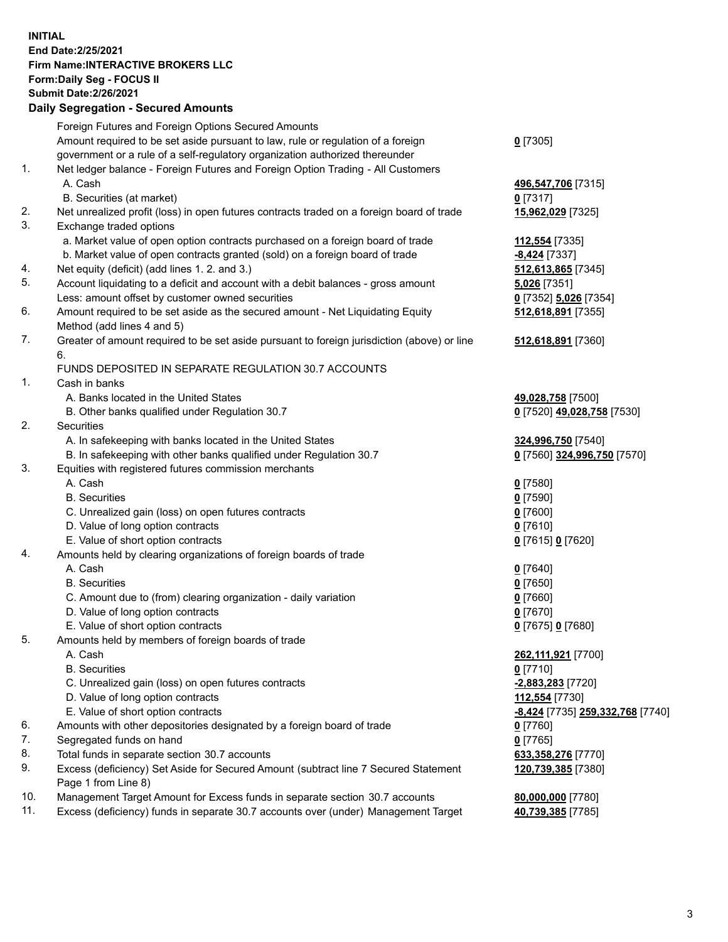**INITIAL End Date:2/25/2021 Firm Name:INTERACTIVE BROKERS LLC Form:Daily Seg - FOCUS II Submit Date:2/26/2021 Daily Segregation - Secured Amounts**

## Foreign Futures and Foreign Options Secured Amounts Amount required to be set aside pursuant to law, rule or regulation of a foreign government or a rule of a self-regulatory organization authorized thereunder **0** [7305] 1. Net ledger balance - Foreign Futures and Foreign Option Trading - All Customers A. Cash **496,547,706** [7315] B. Securities (at market) **0** [7317] 2. Net unrealized profit (loss) in open futures contracts traded on a foreign board of trade **15,962,029** [7325] 3. Exchange traded options a. Market value of open option contracts purchased on a foreign board of trade **112,554** [7335] b. Market value of open contracts granted (sold) on a foreign board of trade **-8,424** [7337] 4. Net equity (deficit) (add lines 1. 2. and 3.) **512,613,865** [7345] 5. Account liquidating to a deficit and account with a debit balances - gross amount **5,026** [7351] Less: amount offset by customer owned securities **0** [7352] **5,026** [7354] 6. Amount required to be set aside as the secured amount - Net Liquidating Equity Method (add lines 4 and 5) **512,618,891** [7355] 7. Greater of amount required to be set aside pursuant to foreign jurisdiction (above) or line 6. **512,618,891** [7360] FUNDS DEPOSITED IN SEPARATE REGULATION 30.7 ACCOUNTS 1. Cash in banks A. Banks located in the United States **49,028,758** [7500] B. Other banks qualified under Regulation 30.7 **0** [7520] **49,028,758** [7530] 2. Securities A. In safekeeping with banks located in the United States **324,996,750** [7540] B. In safekeeping with other banks qualified under Regulation 30.7 **0** [7560] **324,996,750** [7570] 3. Equities with registered futures commission merchants A. Cash **0** [7580] B. Securities **0** [7590] C. Unrealized gain (loss) on open futures contracts **0** [7600] D. Value of long option contracts **0** [7610] E. Value of short option contracts **0** [7615] **0** [7620] 4. Amounts held by clearing organizations of foreign boards of trade A. Cash **0** [7640] B. Securities **0** [7650] C. Amount due to (from) clearing organization - daily variation **0** [7660] D. Value of long option contracts **0** [7670] E. Value of short option contracts **0** [7675] **0** [7680] 5. Amounts held by members of foreign boards of trade A. Cash **262,111,921** [7700] B. Securities **0** [7710] C. Unrealized gain (loss) on open futures contracts **-2,883,283** [7720] D. Value of long option contracts **112,554** [7730] E. Value of short option contracts **-8,424** [7735] **259,332,768** [7740] 6. Amounts with other depositories designated by a foreign board of trade **0** [7760] 7. Segregated funds on hand **0** [7765] 8. Total funds in separate section 30.7 accounts **633,358,276** [7770] 9. Excess (deficiency) Set Aside for Secured Amount (subtract line 7 Secured Statement Page 1 from Line 8) **120,739,385** [7380] 10. Management Target Amount for Excess funds in separate section 30.7 accounts **80,000,000** [7780] 11. Excess (deficiency) funds in separate 30.7 accounts over (under) Management Target **40,739,385** [7785]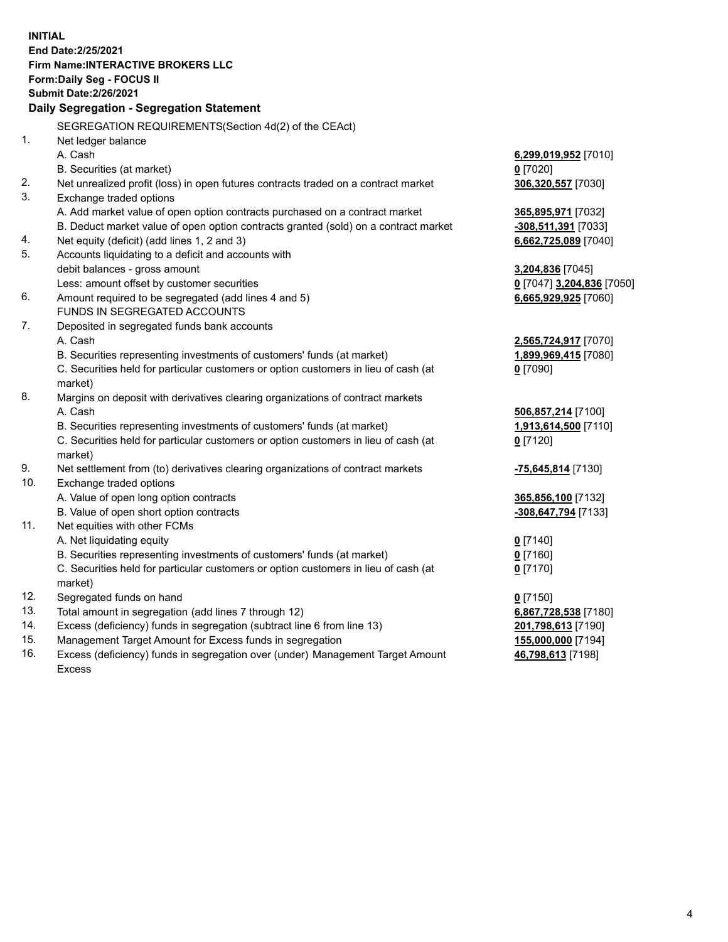**INITIAL End Date:2/25/2021 Firm Name:INTERACTIVE BROKERS LLC Form:Daily Seg - FOCUS II Submit Date:2/26/2021 Daily Segregation - Segregation Statement** SEGREGATION REQUIREMENTS(Section 4d(2) of the CEAct) 1. Net ledger balance A. Cash **6,299,019,952** [7010] B. Securities (at market) **0** [7020] 2. Net unrealized profit (loss) in open futures contracts traded on a contract market **306,320,557** [7030] 3. Exchange traded options A. Add market value of open option contracts purchased on a contract market **365,895,971** [7032] B. Deduct market value of open option contracts granted (sold) on a contract market **-308,511,391** [7033] 4. Net equity (deficit) (add lines 1, 2 and 3) **6,662,725,089** [7040] 5. Accounts liquidating to a deficit and accounts with debit balances - gross amount **3,204,836** [7045] Less: amount offset by customer securities **0** [7047] **3,204,836** [7050] 6. Amount required to be segregated (add lines 4 and 5) **6,665,929,925** [7060] FUNDS IN SEGREGATED ACCOUNTS 7. Deposited in segregated funds bank accounts A. Cash **2,565,724,917** [7070] B. Securities representing investments of customers' funds (at market) **1,899,969,415** [7080] C. Securities held for particular customers or option customers in lieu of cash (at market) **0** [7090] 8. Margins on deposit with derivatives clearing organizations of contract markets A. Cash **506,857,214** [7100] B. Securities representing investments of customers' funds (at market) **1,913,614,500** [7110] C. Securities held for particular customers or option customers in lieu of cash (at market) **0** [7120] 9. Net settlement from (to) derivatives clearing organizations of contract markets **-75,645,814** [7130] 10. Exchange traded options A. Value of open long option contracts **365,856,100** [7132] B. Value of open short option contracts **-308,647,794** [7133] 11. Net equities with other FCMs A. Net liquidating equity **0** [7140] B. Securities representing investments of customers' funds (at market) **0** [7160] C. Securities held for particular customers or option customers in lieu of cash (at market) **0** [7170] 12. Segregated funds on hand **0** [7150] 13. Total amount in segregation (add lines 7 through 12) **6,867,728,538** [7180] 14. Excess (deficiency) funds in segregation (subtract line 6 from line 13) **201,798,613** [7190] 15. Management Target Amount for Excess funds in segregation **155,000,000** [7194] **46,798,613** [7198]

16. Excess (deficiency) funds in segregation over (under) Management Target Amount Excess